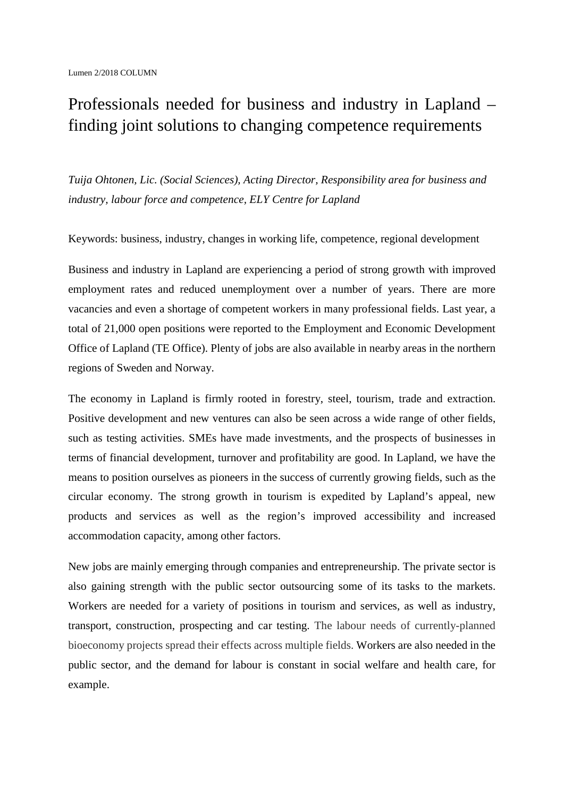## Professionals needed for business and industry in Lapland – finding joint solutions to changing competence requirements

*Tuija Ohtonen, Lic. (Social Sciences), Acting Director, Responsibility area for business and industry, labour force and competence, ELY Centre for Lapland*

Keywords: business, industry, changes in working life, competence, regional development

Business and industry in Lapland are experiencing a period of strong growth with improved employment rates and reduced unemployment over a number of years. There are more vacancies and even a shortage of competent workers in many professional fields. Last year, a total of 21,000 open positions were reported to the Employment and Economic Development Office of Lapland (TE Office). Plenty of jobs are also available in nearby areas in the northern regions of Sweden and Norway.

The economy in Lapland is firmly rooted in forestry, steel, tourism, trade and extraction. Positive development and new ventures can also be seen across a wide range of other fields, such as testing activities. SMEs have made investments, and the prospects of businesses in terms of financial development, turnover and profitability are good. In Lapland, we have the means to position ourselves as pioneers in the success of currently growing fields, such as the circular economy. The strong growth in tourism is expedited by Lapland's appeal, new products and services as well as the region's improved accessibility and increased accommodation capacity, among other factors.

New jobs are mainly emerging through companies and entrepreneurship. The private sector is also gaining strength with the public sector outsourcing some of its tasks to the markets. Workers are needed for a variety of positions in tourism and services, as well as industry, transport, construction, prospecting and car testing. The labour needs of currently-planned bioeconomy projects spread their effects across multiple fields. Workers are also needed in the public sector, and the demand for labour is constant in social welfare and health care, for example.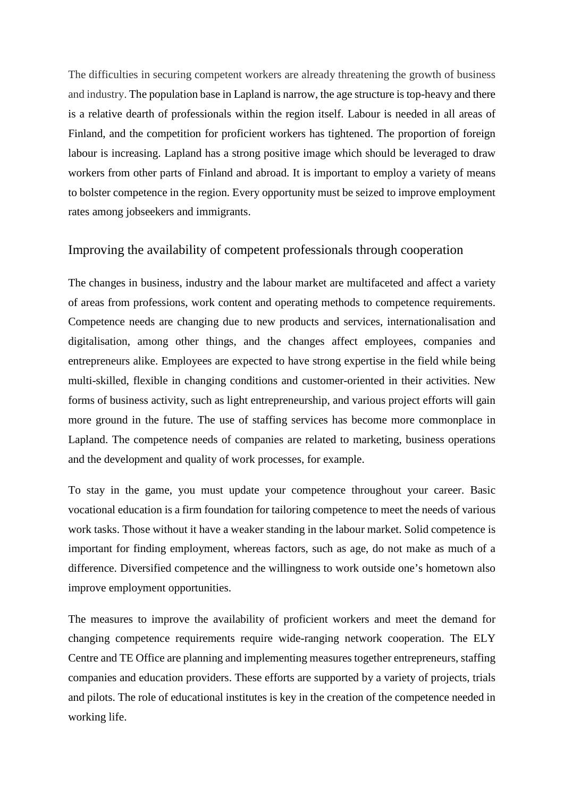The difficulties in securing competent workers are already threatening the growth of business and industry. The population base in Lapland is narrow, the age structure is top-heavy and there is a relative dearth of professionals within the region itself. Labour is needed in all areas of Finland, and the competition for proficient workers has tightened. The proportion of foreign labour is increasing. Lapland has a strong positive image which should be leveraged to draw workers from other parts of Finland and abroad. It is important to employ a variety of means to bolster competence in the region. Every opportunity must be seized to improve employment rates among jobseekers and immigrants.

## Improving the availability of competent professionals through cooperation

The changes in business, industry and the labour market are multifaceted and affect a variety of areas from professions, work content and operating methods to competence requirements. Competence needs are changing due to new products and services, internationalisation and digitalisation, among other things, and the changes affect employees, companies and entrepreneurs alike. Employees are expected to have strong expertise in the field while being multi-skilled, flexible in changing conditions and customer-oriented in their activities. New forms of business activity, such as light entrepreneurship, and various project efforts will gain more ground in the future. The use of staffing services has become more commonplace in Lapland. The competence needs of companies are related to marketing, business operations and the development and quality of work processes, for example.

To stay in the game, you must update your competence throughout your career. Basic vocational education is a firm foundation for tailoring competence to meet the needs of various work tasks. Those without it have a weaker standing in the labour market. Solid competence is important for finding employment, whereas factors, such as age, do not make as much of a difference. Diversified competence and the willingness to work outside one's hometown also improve employment opportunities.

The measures to improve the availability of proficient workers and meet the demand for changing competence requirements require wide-ranging network cooperation. The ELY Centre and TE Office are planning and implementing measures together entrepreneurs, staffing companies and education providers. These efforts are supported by a variety of projects, trials and pilots. The role of educational institutes is key in the creation of the competence needed in working life.